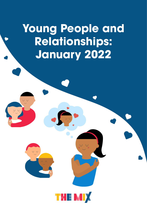**Young People and Relationships: January 2022**

v v

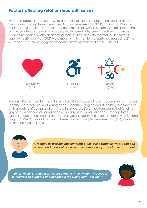### **Factors affecting relationships with selves**

All young people in the survey were asked about factors affecting their relationship with themselves. The top three mentioned factors were sexuality (17%), disability (11%), and religion (10%). The impact of sexuality on relationships with self, slightly varied depending on the gender and age of young people. Females (19%) were more likely than males (15%) to mention sexuality as affecting their relationships with themselves. In terms of age, 16- to 20-year-olds (20%) were more likely to mention sexuality, compared to 21- to 25-year-olds (15%), as a significant factor affecting their relationship with self.



Factors affecting relationship with self also differed depending on a young person's sexual identity. While heterosexual young people identified religion and disability (8% apiece) as critical factors affecting relationships with selves, a different pattern was noted for either gay/lesbian or bisexual young people. For gay/lesbian young people, the top three factors affecting their relationship with self were sexuality (64%), gender identity (19%), and religion (11%). Significant factors for bisexual young people were sexuality (42%), disability (20%), and religion (13%).



*"I identify as bisexual but sometimes I feel like a fraud as I'm attracted to women and men, but I've never been emotionally attracted to a woman"* 

*"I think I'm still struggling to accept some of my own identity because of internalised biphobia and acephobia regarding demi-sexuality"* 

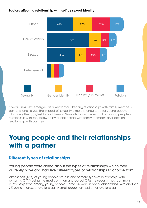#### **Factors affecting relationship with self by sexual identity**



Overall, sexuality emerged as a key factor affecting relationships with family members, partners, and selves. The impact of sexuality is more pronounced for young people who are either gay/lesbian or bisexual. Sexuality has more impact on young people's relationship with self, followed by a relationship with family members and least on relationship with partners.

# **Young people and their relationships with a partner**

## **Different types of relationships**

Young people were asked about the types of relationships which they currently have and had five different types of relationships to choose from.

Almost half (46%) of young people were in one or more types of relationship, with romantic (34%) being the most common and casual (5%) the second most common relationship type among young people. Some 3% were in open relationships, with another 3% being in asexual relationships. A small proportion had other relationships.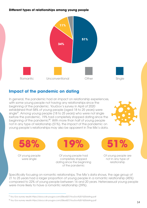#### **Different types of relationships among young people**



## **Impact of the pandemic on dating**

In general, the pandemic had an impact on relationship experiences, with some young people not having any relationships since the beginning of the pandemic. YouGov's survey in April of 2020 established that 58% of young people (aged 18 to 25 years) were single<sup>17</sup>. Among young people (18 to 25 years) who were not single before the pandemic, 19% had completely stopped dating since the beginning of the pandemic<sup>18</sup>. With more than half of young people not in any type of relationship (51%), the impact of the pandemic on young people's relationships may also be apparent in The Mix's data.





Of young people were single

Of young people had completely stopped dating since the beginning

of the pandemic

Of young people are not in any type of relationship

Specifically focusing on romantic relationships, The Mix's data shows, the age group of 21 to 25 years had a larger proportion of young people in a romantic relationship (45%) compared to 22% of young people between 16 and 20 years. Heterosexual young people were more likely to have a romantic relationship (39%).

<sup>&</sup>lt;sup>17</sup> You Gov survey results https://docs.cdn.yougov.com/l2llsos027/YouGov%20-%20dating.pdf

<sup>&</sup>lt;sup>18</sup> You Gov survey results https://docs.cdn.yougov.com/l2llsos027/YouGov%20-%20dating.pdf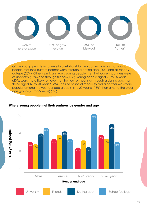

Of the young people who were in a relationship, two common ways that young people met their current partner were through a dating app (20%) and at school/ college (20%). Other significant ways young people met their current partners were at university (16%) and through friends (17%). Young people aged 21 to 25 years (25%) were more likely to have met their current partner through a dating app than those aged 16 to 20 years (12%). The use of social media to find a partner was more popular among the younger age group (16 to 20 years) (18%) than among the older age group (21 to 25 years) (7%).



#### **Where young people met their partners by gender and age**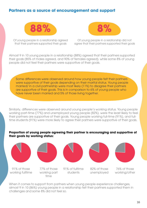### **Partners as a source of encouragement and support**





Of young people in a relationship agreed that their partners supported their goals

Of young people in a relationship did not agree that their partners supported their goals

Almost 9 in 10 young people in a relationship (88%) agreed that their partners supported their goals (85% of males agreed, and 90% of females agreed), while some 8% of young people did not feel their partners were supportive of their goals.

Some differences were observed around how young people felt their partners were supportive of their goals depending on their marital status. Young people married/ in a civil partnership were most likely (11%) to disagree their partners are supportive of their goals. This is in comparison to 6% of young people who have never been married and 5% of those living together.

Similarly, differences were observed around young people's working status. Young people working part-time (77%) and unemployed young people (82%), were the least likely to feel their partners are supportive of their goals. Young people working full-time (91%), and fulltime students (91%) were more likely to agree their partners were supportive of their goals.

#### **Proportion of young people agreeing their partner is encouraging and supportive of their goals by working status:**





When it comes to support from partners when young people experience challenges, almost 9 in 10 (86%) young people in a relationship felt their partners supported them in challenges and some 8% did not feel so.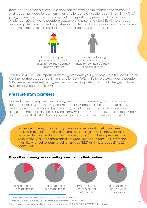There appears to be a relationship between the type of a relationship the person is in and support provided by partners when challenges are experienced. Almost 1 in 3 (31%) young people in asexual relationships felt unsupported by partners when experiencing challenges, 20% of young people in casual relationships and also 24% of those in open relationships felt unsupported by partners in challenges. In comparison, only 4% of those in romantic relationships felt unsupported by their partners in challenges.





Gay/lesbian young people were the least likely to feel their partners supported them

Heterosexual young people were the most likely to feel their partners supported them

Similarly, sexuality is an important factor; gay/lesbian young people were the least likely to feel their partners supported them in challenges (76%) while heterosexual young people (91%) were the most likely to agree their partners supported them in challenges, followed by bisexual young people (85%).

### **Pressure from partners**

Consent in relationships relates to giving permission for something to happen or an agreement to do something<sup>19</sup>. Consent means someone has the freedom to choose without coercion, they have the capacity (mental capacity, not under influence of drugs), and have the choice to say no if they wanted to<sup>20</sup>. Previous studies in the UK have demonstrated that 6.9% of young people say they have been pressured into sex<sup>21</sup>.

In The Mix's survey, 16% of young people in a relationship felt they were pressured by their partners, sometimes to do things they did not want to do in general. (The question did not ask specifically about being pressured into sex). Males (20%) and those aged between 16 and 20 years (19%) were the most likely to feel so, compared to females (12%) and those aged 21 to 25 years (14%).

#### **Proportion of young people feeling pressured by their partner**



<sup>19</sup> What is consent? https://youngandfree.org.uk/relationships/consent/

<sup>20</sup> What does the law say? https://youngandfree.org.uk/relationships/consent/

<sup>21</sup> https://www.youngpeopleshealth.org.uk/wp-content/uploads/2019/09/AYPH\_KDYP2019\_FullVersion.pdf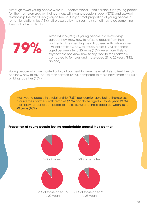Although fewer young people were in "unconventional" relationships, such young people felt the most pressured by their partners, with young people in open (37%) and asexual relationship the most likely (32%) to feel so. Only a small proportion of young people in romantic relationships (13%) felt pressured by their partners sometimes to do something they did not want to do.



Almost 4 in 5 (79%) of young people in a relationship agreed they knew how to refuse a request from their partner to do something they disagreed with, while some 16% did not know how to refuse. Males (17%) and those aged between 16 to 20 years (18%) were more likely to say they did not know how to say "no" to their partners, compared to females and those aged 21 to 25 years (14%, apiece).

Young people who are married or in civil partnership were the most likely to feel they did not know how to say "no" to their partners (23%), compared to those never married (14%) or living together (10%).

Most young people in a relationship (88%) feel comfortable being themselves around their partners, with females (90%) and those aged 21 to 25 years (91%) most likely to feel so compared to males (87%) and those aged between 16 to 20 years (83%).

#### **Proportion of young people feeling comfortable around their partner:**





83% of those aged 16 to 20 years



87% of males 90% of females



91% of those aged 21 to 25 years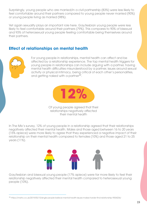Surprisingly, young people who are married/in a civil partnership (83%) were less likely to feel comfortable around their partners compared to young people never married (90%) or young people living as married (98%).

Yet again sexuality plays an important role here. Gay/lesbian young people were less likely to feel comfortable around their partners (79%). This compares to 90% of bisexual and 93% of heterosexual young people feeling comfortable being themselves around their partners.

## **Effect of relationships on mental health**



For young people in relationships, mental health can affect and be affected by a relationship experience. The top mental health triggers for young people in relationships can include arguing with a partner, having mental health difficulties misunderstood by a partner, issues around sexual activity or physical intimacy, being critical of each other's personalities, and getting naked with a partner<sup>22</sup>.



Of young people agreed that their relationships negatively affected their mental health

In The Mix's survey, 12% of young people in a relationship agreed that their relationships negatively affected their mental health. Males and those aged between 16 to 20 years (15% apiece) were more likely to agree that they experienced a negative impact of their relationship on their mental health compared to females (10%) and those aged 21 to 25 years (11%).



Gay/lesbian and bisexual young people (17% apiece) were far more likely to feel their relationship negatively affected their mental health compared to heterosexual young people (10%).

<sup>&</sup>lt;sup>22</sup> https://metro.co.uk/2019/05/15/single-people-believe-mental-health-issues-makes-harder-find-relationship-9554236/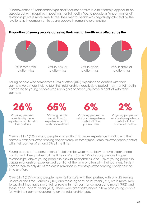"Unconventional" relationship type and frequent conflict in a relationship appear to be associated with negative impact on mental health. Young people in "unconventional" relationships were more likely to feel their mental health was negatively affected by the relationship in comparison to young people in romantic relationships.

#### **Proportion of young people agreeing their mental health was affected by the**



25% in casual

relationships





25% in asexual relationships

Young people who sometimes (19%) or often (40%) experienced conflict with their partners were more likely to feel their relationship negatively affected their mental health, compared to young people who rarely (9%) or never (6%) have a conflict with their partners.



Of young people in a relationship never experience conflict with their partners



Of young people in a relationship experience conflict rarely or sometimes

Of young people in a relationship experience conflict with their

partner often



Of young people in a relationship experience conflict with their partner all the time

Overall, 1 in 4 (26%) young people in a relationship never experience conflict with their partners, with 65% experiencing conflict rarely or sometimes. Some 6% experience conflict with their partner often and 2% all the time.

Young people in "unconventional" relationships were more likely to have experienced conflict with their partners all the time or often. Some 19% of young people in open relationships, 21% of young people in asexual relationships, and 18% of young people in casual relationships experienced conflict all the time or often with their partners. This is in comparison to only 4% of thosf\e in romantic relationships experiencing conflict all the time or often.

Over 3 in 4 (78%) young people never felt unsafe with their partner, with only 2% feeling unsafe all the time. Females (80%) and those aged 21 to 25 years (82%) were more likely to say that they have never felt unsafe with their partner compared to males (75%) and those aged 16 to 20 years (70%). There were great differences in how safe young people felt with their partner depending on the relationship type.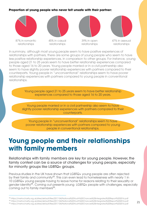#### **Proportion of young people who never felt unsafe with their partner:**



In summary, although most young people seem to have positive experiences of relationships with partners, there are some groups of young people who seem to have less positive relationship experiences, in comparison to other groups. For instance, young people aged 21 to 25 years seem to have better relationship experiences compared to those aged 16 to 20 years. Young people married or in a civil partnership also seem to have slightly poorer relationship experiences with partners compared to their counterparts. Young people in "unconventional" relationships seem to have poorer relationship experiences with partners compared to young people in conventional relationships.



Relationships with family members are key for young people. However, the family context can be a source of challenges for young people, especially for minority groups like LGBTQ+ groups.

Previous studies in the UK have shown that LGBTQ+ young people are often rejected by their family and community<sup>23</sup>. This can even lead to homelessness with nearly 1 in 10 LGBTQ+ young people having to leave home for reasons relating to their sexuality or gender identity<sup>24</sup>. Coming out presents young LGBTQ+ people with challenges, especially coming out to family members<sup>25</sup>.

²³ https://metrocharity.org.uk/sites/default/files/2017-04/National%20Youth%20Chances%20Intergrated%20Report%202016.pdf <sup>24</sup> https://metrocharity.org.uk/sites/default/files/2017-04/National%20Youth%20Chances%20Intergrated%20Report%202016.pdf ²⁵ https://metrocharity.org.uk/sites/default/files/2017-04/National%20Youth%20Chances%20Intergrated%20Report%202016.pdf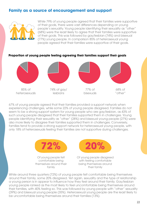### **Family as a source of encouragement and support**



While 79% of young people agreed that their families were supportive of their goals, there were vast differences depending on young people's sexuality. Young people identifying their sexuality as "other" (68%) were the least likely to agree that their families were supportive of their goals. This was followed by gay/lesbian (74%) and bisexual (77%) young people. In comparison 85% of heterosexual young people agreed that their families were supportive of their goals.

**Proportion of young people feeling agreeing their families support their goals**



67% of young people agreed that their families provided a support network when experiencing challenges, while some 22% of young people disagreed. Families do not seem to be a strong support system for young people who are gay/lesbian, as 43% of such young people disagreed that their families supported them in challenges. Young people identifying their sexuality as "other" (28%) and bisexual young people (27%) were also more likely to disagree their families supported them in challenges. Conversely, families tend to provide a strong support network for heterosexual young people, with only 18% of heterosexuals feeling their families are not supportive during challenges.



Of young people felt comfortable being themselves around their family



Of young people disagreed with feeling comfortable being themselves around their family

While around three quarters (72%) of young people felt comfortable being themselves around their family, some 20% disagreed. Yet again, sexuality and the type of relationship a young person is in appear to influence how they feel around their family. Gay/lesbian young people ranked as the most likely to feel uncomfortable being themselves around their families, with 40% feeling so. This was followed by young people with "other" sexuality (39%) and bisexual young people (35%). Heterosexual young people are the least likely to be uncomfortable being themselves around their families (13%).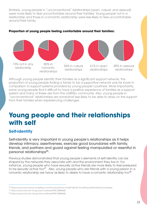Similarly, young people in "unconventional" relationships (open, casual, and asexual) were more likely to feel uncomfortable around their families. Young people not in a relationship and those in a romantic relationship were less likely to feel uncomfortable around their family.



#### **Proportion of young people feeling comfortable around their families:**

Although young people identify their families as a significant support network, the proportion of young people finding a family to be a supportive network was far lower in comparison to support systems provided by young people's partners. More importantly, some young people find it difficult to have a positive experience of families as a support system and many of these are from the LGBTQ+ community. Also, young people in "unconventional" relationships are somewhat less likely to be able to draw on the support from their families when experiencing challenges.

# **Young people and their relationships with self**

## **Self-identity**

Self-identity is very important in young people's relationships as it helps develop intimacy, assertiveness, exercise good boundaries with family, friends, and partners and guard against feeling manipulated or resentful in personal relationships<sup>26</sup>.

Previous studies demonstrated that young people's elements of self-identity can be shaped by the networks they associate with and the environment they live in. For instance, young people who have sexually active friends are more likely to feel pressured to be sexually active too<sup>27</sup>. Also, young people who are friends with a young person in a romantic relationship are twice as likely to desire to have a romantic relationship too<sup>28</sup>.

<sup>&</sup>lt;sup>26</sup> https://www.reconnectcounseling.com/the-importance-of-self-identity-for-setting-relationship-boundaries/

²⁷ https://www.ncbi.nlm.nih.gov/pmc/articles/PMC3888648/

²⁸ https://www.ncbi.nlm.nih.gov/pmc/articles/PMC3888648/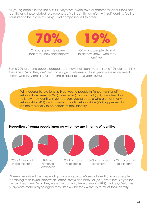All young people in the The Mix's survey were asked several statements about their selfidentity and these related to awareness of self-identity, comfort with self-identity, feeling pressured to be in a relationship, and comparing self to others.



Of young people agreed that they knew their identity

Of young people did not think they knew "who they are" yet

Some 70% of young people agreed they knew their identity, and some 19% did not think they knew "who they are" yet. Those aged between 21 to 25 years were more likely to know "who they are" (72%) than those aged 16 to 20 years (68%).

With regards to relationship type, young people in "unconventional" relationships asexual (45%), open (66%), and casual (58%) were less likely to know their identity. In comparison, young people who are not in any relationship (70%) and those in romantic relationships (79%) appeared to be the most likely to be certain of their identity.

#### **Proportion of young people knowing who they are in terms of identity:**



Differences existed also depending on young people's sexual identity. Young people identifying their sexual identity as "other" (56%) and bisexual (63%) were less likely to be certain they knew "who they were". In contrast, heterosexuals (78%) and gays/lesbians (70%) were more likely to agree they "knew who they were" in terms of their identity.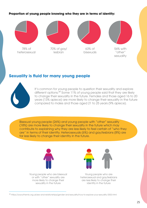#### **Proportion of young people knowing who they are in terms of identity:**



### **Sexuality is fluid for many young people**



It's common for young people to question their sexuality and explore different options.<sup>29</sup> Some 11% of young people said that they are likely to change their sexuality in the future. Females and those aged 16 to 20 years (13% apiece) are more likely to change their sexuality in the future compared to males and those aged 21 to 25 years (9% apiece).

Bisexual young people (26%) and young people with "other" sexuality (18%) are more likely to change their sexuality in the future which may contribute to explaining why they are less likely to feel certain of "who they are" in terms of their identity. Heterosexuals (6%) and gay/lesbians (8%) are far less likely to change their identity in the future.



Young people who are bisexual or with "other" sexuality are more likely to change their sexuality in the future



Young people who are heterosexual and gay/lesbians are less likely to change their identity in the future

²⁹ https://www.themix.org.uk/sex-and-relationships/gender-and-sexuality/how-to-explore-your-sexuality-3353.html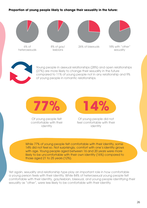#### **Proportion of young people likely to change their sexuality in the future:**





Young people in asexual relationships (28%) and open relationships (27%) are more likely to change their sexuality in the future compared to 11% of young people not in any relationship and 9% of young people in romantic relationships.



Of young people felt comfortable with their identity

Of young people did not feel comfortable with their identity

While 77% of young people felt comfortable with their identity, some 14% did not feel so. Not surprisingly, comfort with one's identity grows with age. Young people aged between 16 and 20 years were more likely to be uncomfortable with their own identity (16%) compared to those aged 21 to 25 years (12%).

Yet again, sexuality and relationship type play an important role in how comfortable a young person feels with their identity. While 84% of heterosexual young people felt comfortable with their identity, gay/lesbian, bisexual, and young people identifying their sexuality as "other", were less likely to be comfortable with their identity.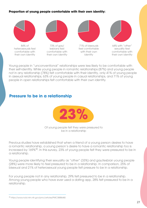#### **Proportion of young people comfortable with their own identity:**



Young people in "unconventional" relationships were less likely to be comfortable with their self-identity. While young people in romantic relationships (87%) and young people not in any relationship (78%) felt comfortable with their identity, only 41% of young people in asexual relationships, 63% of young people in casual relationships, and 71% of young people in open relationships felt comfortable with their own identity.

### **Pressure to be in a relationship**



Of young people felt they were pressured to be in a relationship

Previous studies have established that when a friend of a young person desires to have a romantic relationship, a young person's desire to have a romantic relationship too is increased by 169%<sup>30</sup>. In this survey, 23% of young people felt they were pressured to be in a relationship.

Young people identifying their sexuality as "other" (33%) and gay/lesbian young people (28%) were more likely to feel pressured to be in a relationship. In comparison, 25% of bisexual and 21% of heterosexual young people felt pressure to be in a relationship.

For young people not in any relationship, 29% felt pressured to be in a relationship. Among young people who have ever used a dating app, 28% felt pressured to be in a relationship.

³⁰ https://www.ncbi.nlm.nih.gov/pmc/articles/PMC3888648/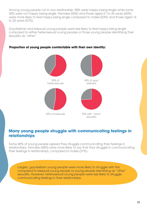Among young people not in any relationship, 58% were happy being single while some 30% were not happy being single. Females (65%) and those aged 21 to 25 years (60%) were more likely to feel happy being single compared to males (53%) and those aged 16 to 20 years (57%).

Gay/lesbian and bisexual young people were less likely to feel happy being single compared to either heterosexual young people or those young people identifying their sexuality as "other".



#### **Proportion of young people comfortable with their own identity:**

### **Many young people struggle with communicating feelings in relationships**

Some 40% of young people agreed they struggle communicating their feelings in relationships. Females (44%) were more likely to say that they struggle in communicating their feelings in relationships, compared to males (37%).

Largely, gay/lesbian young people were more likely to struggle with this compared to bisexual young people or young people identifying as "other" sexuality. However, heterosexual young people were less likely to struggle communicating feelings in their relationships.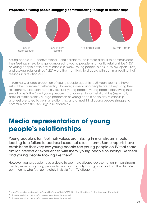#### **Proportion of young people struggling communicating feelings in relationships**



Young people in "unconventional" relationships found it more difficult to communicate their feelings in relationships compared to young people in romantic relationships (43%) or young people not in any relationship (44%). Young people in casual (50%), open ( 43%) and asexual relationships (42%) were the most likely to struggle with communicating their feelings in a relationship.

In summary, a large proportion of young people aged 16 to 25 years seems to have established a sense of self-identity. However, some young people are still exploring their self-identity, especially females, bisexual young people, young people identifying their sexuality as "other" and young people in "unconventional" relationships (especially asexual relationships). A large proportion of young people not in any relationship also feel pressured to be in a relationship, and almost 1 in 2 young people struggle to communicate their feelings in relationships.

# **Media representation of young people's relationships**

Young people often feel their voices are missing in mainstream media, leading to a failure to address issues that affect them<sup>31</sup>. Some reports have established that very few young people see young people on TV that share similar interests or experiences with them, young people sounding like them and young people looking like them<sup>32</sup>.

However young people have a desire to see more diverse representation in mainstream media, especially young people from ethnic minority backgrounds or from the LGBTQ+ community, who feel completely invisible from TV altogether<sup>33</sup>.

<sup>&</sup>lt;sup>31</sup> https://pureadmin.qub.ac.uk/ws/portalfiles/portal/15482673/Behind\_the\_Headlines\_Printed\_Summary\_Report.pdf

³² https://www.bfi.org.uk/news/young-people-uk-television-report

 $33$  https://www.bfi.org.uk/news/young-people-uk-television-report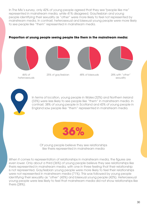In The Mix's survey, only 42% of young people agreed that they see "people like me" represented in mainstream media, while 41% disagreed. Gay/lesbian and young people identifying their sexuality as "other" were more likely to feel not represented by mainstream media. In contrast, heterosexual and bisexual young people were more likely to see people like "them" represented in mainstream media.

#### **Proportion of young people seeing people like them in the mainstream media:**







46% of heterosexuals



In terms of location, young people in Wales (32%) and Northern Ireland (33%) were less likely to see people like "them" in mainstream media. In contrast, 38% of young people in Scotland and 43% of young people in England saw people like "them" represented in mainstream media.



Of young people believe they see relationships like theirs represented in mainstream media

When it comes to representation of relationships in mainstream media, the figures are even lower. Only about a third (36%) of young people believe they see relationships like theirs represented in mainstream media, with one in three feeling that their relationship is not represented. Gay/lesbian young people were more likely to feel their relationships were not represented in mainstream media (71%). This was followed by young people identifying their sexuality as "other" (43%) and bisexual young people (42%). Heterosexual young people were less likely to feel that mainstream media did not show relationships like theirs (28%).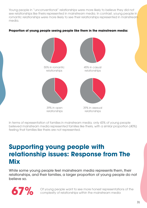Young people in "unconventional" relationships were more likely to believe they did not see relationships like theirs represented in mainstream media. In contrast, young people in romantic relationships were more likely to see their relationships represented in mainstream media.

#### **Proportion of young people seeing people like them in the mainstream media:**



In terms of representation of families in mainstream media, only 43% of young people believed mainstream media represented families like theirs, with a similar proportion (40%) feeling that families like theirs are not represented.

# **Supporting young people with relationship issues: Response from The Mix**

While some young people feel mainstream media represents them, their relationships, and their families, a larger proportion of young people do not believe so.



Of young people want to see more honest representations of the complexity of relationships within the mainstream media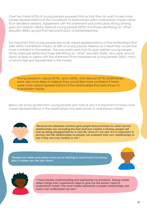Over two thirds (67%) of young people surveyed told us that they do want to see more honest representations of the complexity of relationships within mainstream media rather than idealised versions. Agreement with this statement was particularly strong among gays and lesbians (86%), bisexual young people (83%) and those identifying as "other" sexuality (86%); groups that feel particularly underrepresented.

It is important that young people see more varied representations of the relationships that exist within mainstream media as 44% of young people believe as a result they would feel more confident in themselves. This was particularly true for gay/ lesbian young people (81%), bisexuals (65%) and those identifying as "other" sexuality (66%), who were around twice as likely to agree with the statement than heterosexual young people (36%), many of whom feel well represented in the media.

Young people in casual (51%), open (65%), and asexual (57%) relationships were also more likely to believe they would feel more confident if there were more varied representations of the relationships that exist shown in mainstream media.

Below are some quotes from young people who told us why it is important to have more varied representations of the relationships that exist shown in mainstream media:



*"Because the idealised versions give people false premises for what normal*  relationships are. Excluding the bad stuff just creates a fantasy people will *end up being disappointed by in real life, since it's not real. It's so important to portray real life relationships so people can evaluate their own relationships to see if they are truly healthy or not."* 

*"People can relate and realise what you're thinking is normal and not wrong. Also, it makes you feel less alone."* 





*"I have trouble understanding and expressing my emotions. Seeing media reflect things that I experience helps to give me the words I need to understand myself. The more media represents complex relationships, the more I can understand my own."*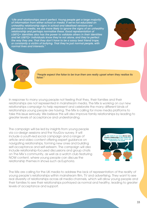*"Life and relationships aren't perfect. Young people get a large majority of information from either school or media. If we're not educated on unhealthy relationship signs in school and idealised versions are pervasive in media, we are more likely to ignore the signs of an unhealthy relationship and perhaps normalise these. Good representation of LGBTQ+ identities also has the power to validate others in their identities and let LGBTQ+ individuals know they're not alone, and they're perfect the way they are. That they don't have to be a sassy best friend trope, or constantly a victim of bullying. That they're just normal people, with normal lives and interests."* 





*"People expect the false to be true then are really upset when they realise its false."* 

In response to many young people not feeling that they, their families and their relationships are not represented in mainstream media, The Mix is working on our new relationships campaign to help represent and celebrate the many different kinds of relationships young people are having. The Mix is calling for more media platforms to take this issue seriously. We believe this will also improve family relationships by leading to greater levels of acceptance and understanding.

The campaign will be led by insights from young people via co-design sessions and the YouGov survey. It will include a youth-led social campaign and a range of article and video content offering expert guidance on navigating relationships, forming new ones and building self-acceptance and self-esteem. The campaign will also include relationship-focused discussions and group chats on The Mix's community, as well as a watch club featuring NOW content, where young people can discuss the relationship themes in shows such as Euphoria.



The Mix are calling for the UK media to address the lack of representation of the reality of young people's relationships within mainstream film, TV and advertising. They want to see real diversity of relationships across all media channels, which will allow young people and their families to see their relationships portrayed as normal and healthy, leading to greater levels of acceptance and support.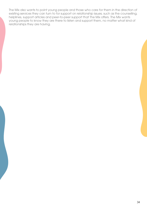The Mix also wants to point young people and those who care for them in the direction of existing services they can turn to for support on relationship issues, such as the counselling, helplines, support articles and peer-to-peer support that The Mix offers. The Mix wants young people to know they are there to listen and support them, no matter what kind of relationships they are having.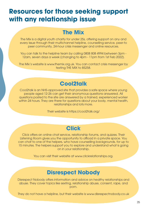# **Resources for those seeking support with any relationship issue**

## **The Mix**

The Mix is a digital youth charity for under 25s, offering support on any and every issue through their multichannel helpline, counselling service, peer-to peer community, 24-hour crisis messenger and online resources.

You can talk to the helpline team by calling 0808 808 4994 between 3pm - 12am, seven days a week (changing to 4pm - 11pm from 1st Feb 2022).

The Mix's website is www.themix.org.uk. You can contact crisis messenger by texting THE MIX to 85258.

## **Cool2talk**

Cool2talk is an NHS-approved site that provides a safe space where young people aged 12-26 can get their anonymous questions answered. All questions posted to the site are answered by a trained, experienced worker within 24 hours. They are there for questions about your body, mental health, relationships and lots more.

Their website is https://cool2talk.org/

## **Click**

Click offers an online chat service, relationship forums, and quizzes. Their Listening Room gives you the opportunity to offload in a private space. You can chat to one of the helpers, who have counselling backgrounds, for up to 15 minutes. The helpers support you to explore and understand what is going on in your relationship.

You can visit their website at www.clickrelationships.org.

## **Disrespect Nobody**

Disrespect Nobody offers information and advice on healthy relationships and abuse. They cover topics like sexting, relationship abuse, consent, rape, and porn.

They do not have a helpline, but their website is www.disrespectnobody.co.uk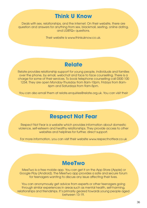## **Think U Know**

Deals with sex, relationships, and the internet. On their website, there are question and answers for anything from sex, blackmail, sexting, online dating, and LGBTQ+ questions.

Their website is www.thinkuknow.co.uk.

## **Relate**

Relate provides relationship support for young people, individuals and families over the phone, by email, webchat and face to face counselling. There is a charge for some of their services. To book telephone counselling call 0300 100 1234. They are open Monday-Thursday from 8am-10pm, Fridays from 8am-6pm and Saturdays from 9am-5pm.

You can also email them at relate.enquiries@relate.org.uk. You can visit their

## **Respect Not Fear**

Respect Not Fear is a website which provides information about domestic violence, self-esteem and healthy relationships. They provide access to other websites and helplines for further, direct support.

For more information, you can visit their website www.respectnotfear.co.uk

## **MeeTwo**

 MeeTwo is a free mobile app. You can get it on the App Store (Apple) or Google Play (Android). The MeeTwo app provides a safe and secure forum for teenagers wanting to discuss any issue affecting their lives.

You can anonymously get advice from experts or other teenagers going through similar experiences in areas such as mental health, self-harming, relationships and friendships. It's primarily geared towards young people aged between 13-19.